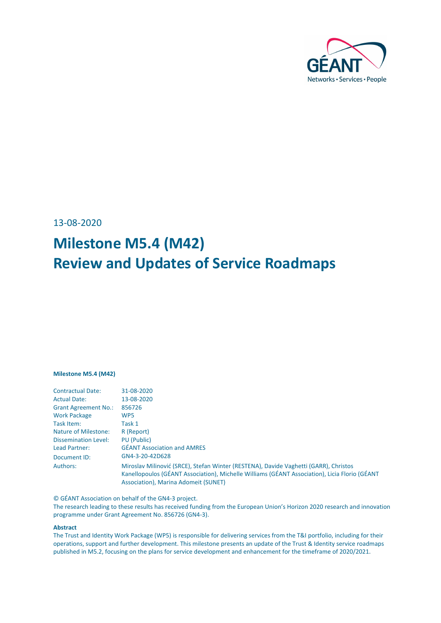

13-08-2020

# **Milestone M5.4 (M42) Review and Updates of Service Roadmaps**

#### **Milestone M5.4 (M42)**

| <b>Contractual Date:</b>    | 31-08-2020                                                                                                                                                                                                                    |
|-----------------------------|-------------------------------------------------------------------------------------------------------------------------------------------------------------------------------------------------------------------------------|
| <b>Actual Date:</b>         | 13-08-2020                                                                                                                                                                                                                    |
| <b>Grant Agreement No.:</b> | 856726                                                                                                                                                                                                                        |
| <b>Work Package</b>         | WP <sub>5</sub>                                                                                                                                                                                                               |
| Task Item:                  | Task 1                                                                                                                                                                                                                        |
| <b>Nature of Milestone:</b> | R (Report)                                                                                                                                                                                                                    |
| <b>Dissemination Level:</b> | PU (Public)                                                                                                                                                                                                                   |
| Lead Partner:               | <b>GÉANT Association and AMRES</b>                                                                                                                                                                                            |
| Document ID:                | GN4-3-20-42D628                                                                                                                                                                                                               |
| Authors:                    | Miroslav Milinović (SRCE), Stefan Winter (RESTENA), Davide Vaghetti (GARR), Christos<br>Kanellopoulos (GÉANT Association), Michelle Williams (GÉANT Association), Licia Florio (GÉANT<br>Association), Marina Adomeit (SUNET) |

© GÉANT Association on behalf of the GN4-3 project.

The research leading to these results has received funding from the European Union's Horizon 2020 research and innovation programme under Grant Agreement No. 856726 (GN4-3).

#### **Abstract**

The Trust and Identity Work Package (WP5) is responsible for delivering services from the T&I portfolio, including for their operations, support and further development. This milestone presents an update of the Trust & Identity service roadmaps published in M5.2, focusing on the plans for service development and enhancement for the timeframe of 2020/2021.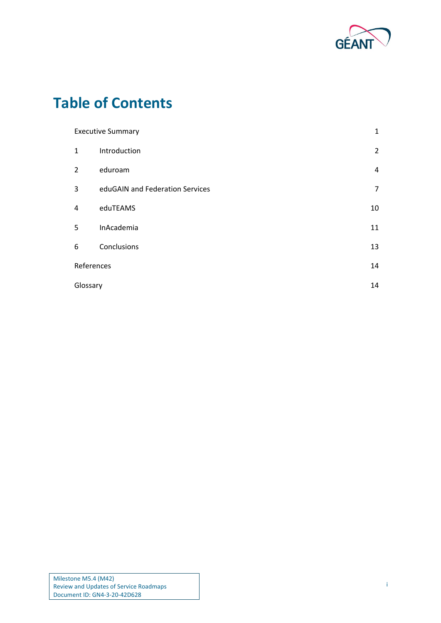

## **Table of Contents**

| <b>Executive Summary</b><br>1 |                                 |                |
|-------------------------------|---------------------------------|----------------|
| $\mathbf{1}$                  | Introduction                    | $\overline{2}$ |
| 2                             | eduroam                         | 4              |
| 3                             | eduGAIN and Federation Services | 7              |
| 4                             | eduTEAMS                        | 10             |
| 5                             | InAcademia                      | 11             |
| 6                             | Conclusions                     | 13             |
| References                    |                                 | 14             |
| Glossary                      |                                 | 14             |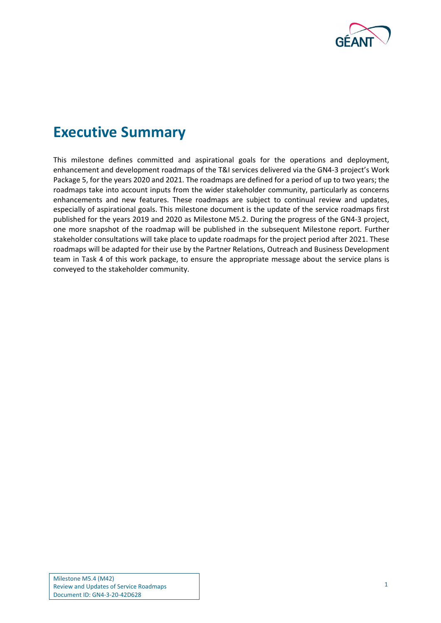

## <span id="page-2-0"></span>**Executive Summary**

This milestone defines committed and aspirational goals for the operations and deployment, enhancement and development roadmaps of the T&I services delivered via the GN4-3 project's Work Package 5, for the years 2020 and 2021. The roadmaps are defined for a period of up to two years; the roadmaps take into account inputs from the wider stakeholder community, particularly as concerns enhancements and new features. These roadmaps are subject to continual review and updates, especially of aspirational goals. This milestone document is the update of the service roadmaps first published for the years 2019 and 2020 as Milestone M5.2. During the progress of the GN4-3 project, one more snapshot of the roadmap will be published in the subsequent Milestone report. Further stakeholder consultations will take place to update roadmaps for the project period after 2021. These roadmaps will be adapted for their use by the Partner Relations, Outreach and Business Development team in Task 4 of this work package, to ensure the appropriate message about the service plans is conveyed to the stakeholder community.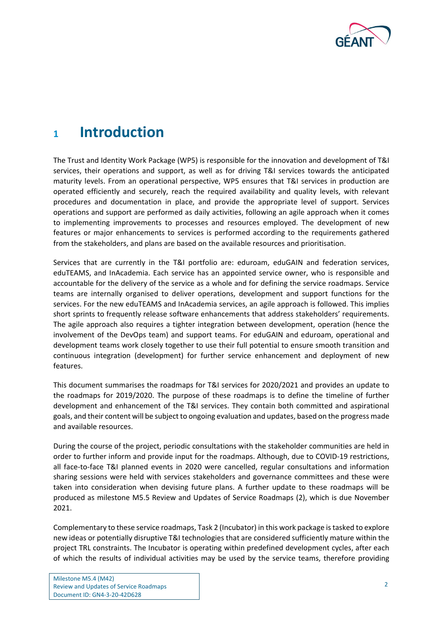

### <span id="page-3-0"></span>**<sup>1</sup> Introduction**

The Trust and Identity Work Package (WP5) is responsible for the innovation and development of T&I services, their operations and support, as well as for driving T&I services towards the anticipated maturity levels. From an operational perspective, WP5 ensures that T&I services in production are operated efficiently and securely, reach the required availability and quality levels, with relevant procedures and documentation in place, and provide the appropriate level of support. Services operations and support are performed as daily activities, following an agile approach when it comes to implementing improvements to processes and resources employed. The development of new features or major enhancements to services is performed according to the requirements gathered from the stakeholders, and plans are based on the available resources and prioritisation.

Services that are currently in the T&I portfolio are: eduroam, eduGAIN and federation services, eduTEAMS, and InAcademia. Each service has an appointed service owner, who is responsible and accountable for the delivery of the service as a whole and for defining the service roadmaps. Service teams are internally organised to deliver operations, development and support functions for the services. For the new eduTEAMS and InAcademia services, an agile approach is followed. This implies short sprints to frequently release software enhancements that address stakeholders' requirements. The agile approach also requires a tighter integration between development, operation (hence the involvement of the DevOps team) and support teams. For eduGAIN and eduroam, operational and development teams work closely together to use their full potential to ensure smooth transition and continuous integration (development) for further service enhancement and deployment of new features.

This document summarises the roadmaps for T&I services for 2020/2021 and provides an update to the roadmaps for 2019/2020. The purpose of these roadmaps is to define the timeline of further development and enhancement of the T&I services. They contain both committed and aspirational goals, and their content will be subject to ongoing evaluation and updates, based on the progress made and available resources.

During the course of the project, periodic consultations with the stakeholder communities are held in order to further inform and provide input for the roadmaps. Although, due to COVID-19 restrictions, all face-to-face T&I planned events in 2020 were cancelled, regular consultations and information sharing sessions were held with services stakeholders and governance committees and these were taken into consideration when devising future plans. A further update to these roadmaps will be produced as milestone M5.5 Review and Updates of Service Roadmaps (2), which is due November 2021.

Complementary to these service roadmaps, Task 2 (Incubator) in this work package is tasked to explore new ideas or potentially disruptive T&I technologies that are considered sufficiently mature within the project TRL constraints. The Incubator is operating within predefined development cycles, after each of which the results of individual activities may be used by the service teams, therefore providing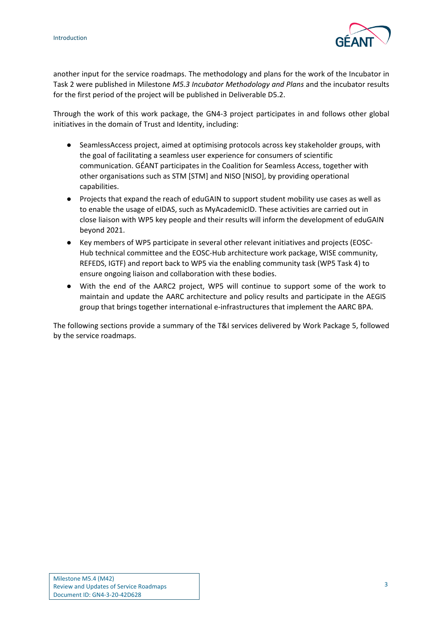

another input for the service roadmaps. The methodology and plans for the work of the Incubator in Task 2 were published in Milestone *M5.3 Incubator Methodology and Plans* and the incubator results for the first period of the project will be published in Deliverable D5.2.

Through the work of this work package, the GN4-3 project participates in and follows other global initiatives in the domain of Trust and Identity, including:

- SeamlessAccess project, aimed at optimising protocols across key stakeholder groups, with the goal of facilitating a seamless user experience for consumers of scientific communication. GÉANT participates in the Coalition for Seamless Access, together with other organisations such as STM [\[STM\]](#page-15-2) and NISO [\[NISO\]](#page-15-3), by providing operational capabilities.
- Projects that expand the reach of eduGAIN to support student mobility use cases as well as to enable the usage of eIDAS, such as MyAcademicID. These activities are carried out in close liaison with WP5 key people and their results will inform the development of eduGAIN beyond 2021.
- Key members of WP5 participate in several other relevant initiatives and projects (EOSC-Hub technical committee and the EOSC-Hub architecture work package, WISE community, REFEDS, IGTF) and report back to WP5 via the enabling community task (WP5 Task 4) to ensure ongoing liaison and collaboration with these bodies.
- With the end of the AARC2 project, WP5 will continue to support some of the work to maintain and update the AARC architecture and policy results and participate in the AEGIS group that brings together international e-infrastructures that implement the AARC BPA.

The following sections provide a summary of the T&I services delivered by Work Package 5, followed by the service roadmaps.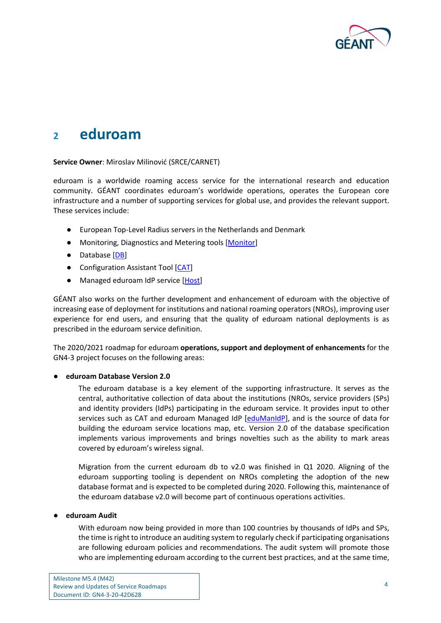

### <span id="page-5-0"></span>**<sup>2</sup> eduroam**

#### **Service Owner**: Miroslav Milinović (SRCE/CARNET)

eduroam is a worldwide roaming access service for the international research and education community. GÉANT coordinates eduroam's worldwide operations, operates the European core infrastructure and a number of supporting services for global use, and provides the relevant support. These services include:

- European Top-Level Radius servers in the Netherlands and Denmark
- Monitoring, Diagnostics and Metering tools [\[Monitor\]](#page-15-4)
- Database [\[DB\]](#page-15-5)
- Configuration Assistant Tool [\[CAT\]](#page-15-6)
- Managed eduroam IdP service [\[Host\]](#page-15-7)

GÉANT also works on the further development and enhancement of eduroam with the objective of increasing ease of deployment for institutions and national roaming operators (NROs), improving user experience for end users, and ensuring that the quality of eduroam national deployments is as prescribed in the eduroam service definition.

The 2020/2021 roadmap for eduroam **operations, support and deployment of enhancements** for the GN4-3 project focuses on the following areas:

#### ● **eduroam Database Version 2.0**

The eduroam database is a key element of the supporting infrastructure. It serves as the central, authoritative collection of data about the institutions (NROs, service providers (SPs) and identity providers (IdPs) participating in the eduroam service. It provides input to other services such as CAT and eduroam Managed IdP [\[eduManIdP\]](#page-15-8), and is the source of data for building the eduroam service locations map, etc. Version 2.0 of the database specification implements various improvements and brings novelties such as the ability to mark areas covered by eduroam's wireless signal.

Migration from the current eduroam db to v2.0 was finished in Q1 2020. Aligning of the eduroam supporting tooling is dependent on NROs completing the adoption of the new database format and is expected to be completed during 2020. Following this, maintenance of the eduroam database v2.0 will become part of continuous operations activities.

#### ● **eduroam Audit**

With eduroam now being provided in more than 100 countries by thousands of IdPs and SPs, the time is right to introduce an auditing system to regularly check if participating organisations are following eduroam policies and recommendations. The audit system will promote those who are implementing eduroam according to the current best practices, and at the same time,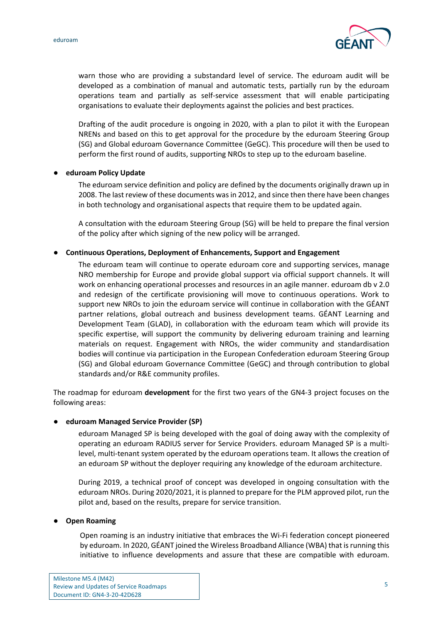

warn those who are providing a substandard level of service. The eduroam audit will be developed as a combination of manual and automatic tests, partially run by the eduroam operations team and partially as self-service assessment that will enable participating organisations to evaluate their deployments against the policies and best practices.

Drafting of the audit procedure is ongoing in 2020, with a plan to pilot it with the European NRENs and based on this to get approval for the procedure by the eduroam Steering Group (SG) and Global eduroam Governance Committee (GeGC). This procedure will then be used to perform the first round of audits, supporting NROs to step up to the eduroam baseline.

#### ● **eduroam Policy Update**

The eduroam service definition and policy are defined by the documents originally drawn up in 2008. The last review of these documents was in 2012, and since then there have been changes in both technology and organisational aspects that require them to be updated again.

A consultation with the eduroam Steering Group (SG) will be held to prepare the final version of the policy after which signing of the new policy will be arranged.

#### ● **Continuous Operations, Deployment of Enhancements, Support and Engagement**

The eduroam team will continue to operate eduroam core and supporting services, manage NRO membership for Europe and provide global support via official support channels. It will work on enhancing operational processes and resources in an agile manner. eduroam db v 2.0 and redesign of the certificate provisioning will move to continuous operations. Work to support new NROs to join the eduroam service will continue in collaboration with the GÉANT partner relations, global outreach and business development teams. GÉANT Learning and Development Team (GLAD), in collaboration with the eduroam team which will provide its specific expertise, will support the community by delivering eduroam training and learning materials on request. Engagement with NROs, the wider community and standardisation bodies will continue via participation in the European Confederation eduroam Steering Group (SG) and Global eduroam Governance Committee (GeGC) and through contribution to global standards and/or R&E community profiles.

The roadmap for eduroam **development** for the first two years of the GN4-3 project focuses on the following areas:

#### ● **eduroam Managed Service Provider (SP)**

eduroam Managed SP is being developed with the goal of doing away with the complexity of operating an eduroam RADIUS server for Service Providers. eduroam Managed SP is a multilevel, multi-tenant system operated by the eduroam operations team. It allows the creation of an eduroam SP without the deployer requiring any knowledge of the eduroam architecture.

During 2019, a technical proof of concept was developed in ongoing consultation with the eduroam NROs. During 2020/2021, it is planned to prepare for the PLM approved pilot, run the pilot and, based on the results, prepare for service transition.

#### **Open Roaming**

Open roaming is an industry initiative that embraces the Wi-Fi federation concept pioneered by eduroam. In 2020, GÉANT joined the Wireless Broadband Alliance (WBA) that is running this initiative to influence developments and assure that these are compatible with eduroam.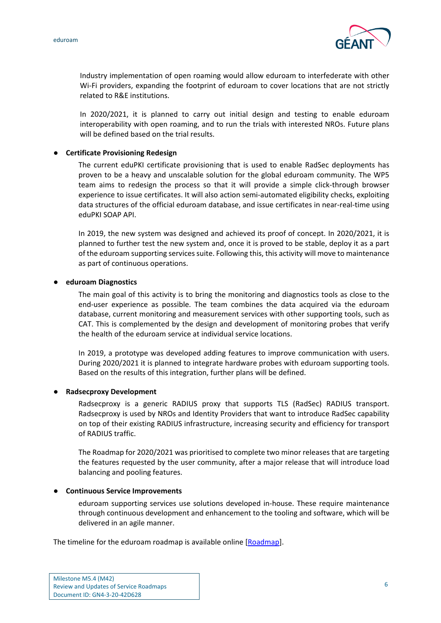

Industry implementation of open roaming would allow eduroam to interfederate with other Wi-Fi providers, expanding the footprint of eduroam to cover locations that are not strictly related to R&E institutions.

In 2020/2021, it is planned to carry out initial design and testing to enable eduroam interoperability with open roaming, and to run the trials with interested NROs. Future plans will be defined based on the trial results.

#### ● **Certificate Provisioning Redesign**

The current eduPKI certificate provisioning that is used to enable RadSec deployments has proven to be a heavy and unscalable solution for the global eduroam community. The WP5 team aims to redesign the process so that it will provide a simple click-through browser experience to issue certificates. It will also action semi-automated eligibility checks, exploiting data structures of the official eduroam database, and issue certificates in near-real-time using eduPKI SOAP API.

In 2019, the new system was designed and achieved its proof of concept. In 2020/2021, it is planned to further test the new system and, once it is proved to be stable, deploy it as a part of the eduroam supporting services suite. Following this, this activity will move to maintenance as part of continuous operations.

#### ● **eduroam Diagnostics**

The main goal of this activity is to bring the monitoring and diagnostics tools as close to the end-user experience as possible. The team combines the data acquired via the eduroam database, current monitoring and measurement services with other supporting tools, such as CAT. This is complemented by the design and development of monitoring probes that verify the health of the eduroam service at individual service locations.

In 2019, a prototype was developed adding features to improve communication with users. During 2020/2021 it is planned to integrate hardware probes with eduroam supporting tools. Based on the results of this integration, further plans will be defined.

#### ● **Radsecproxy Development**

Radsecproxy is a generic RADIUS proxy that supports TLS (RadSec) RADIUS transport. Radsecproxy is used by NROs and Identity Providers that want to introduce RadSec capability on top of their existing RADIUS infrastructure, increasing security and efficiency for transport of RADIUS traffic.

The Roadmap for 2020/2021 was prioritised to complete two minor releases that are targeting the features requested by the user community, after a major release that will introduce load balancing and pooling features.

#### ● **Continuous Service Improvements**

eduroam supporting services use solutions developed in-house. These require maintenance through continuous development and enhancement to the tooling and software, which will be delivered in an agile manner.

The timeline for the eduroam roadmap is available online [\[Roadmap\]](#page-15-9).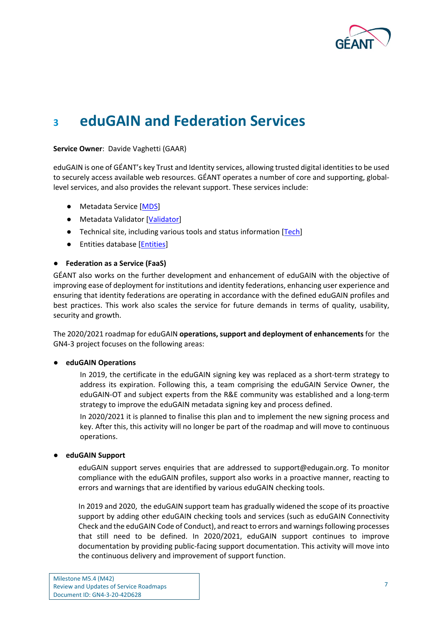

### <span id="page-8-0"></span>**<sup>3</sup> eduGAIN and Federation Services**

#### **Service Owner**: Davide Vaghetti (GAAR)

eduGAIN is one of GÉANT's key Trust and Identity services, allowing trusted digital identities to be used to securely access available web resources. GÉANT operates a number of core and supporting, globallevel services, and also provides the relevant support. These services include:

- Metadata Service [\[MDS\]](#page-15-10)
- Metadata Validator [\[Validator\]](#page-15-11)
- Technical site, including various tools and status information [\[Tech\]](#page-15-12)
- Entities database [\[Entities\]](#page-15-13)

#### ● **Federation as a Service (FaaS)**

GÉANT also works on the further development and enhancement of eduGAIN with the objective of improving ease of deployment for institutions and identity federations, enhancing user experience and ensuring that identity federations are operating in accordance with the defined eduGAIN profiles and best practices. This work also scales the service for future demands in terms of quality, usability, security and growth.

The 2020/2021 roadmap for eduGAIN **operations, support and deployment of enhancements** for the GN4-3 project focuses on the following areas:

#### ● **eduGAIN Operations**

In 2019, the certificate in the eduGAIN signing key was replaced as a short-term strategy to address its expiration. Following this, a team comprising the eduGAIN Service Owner, the eduGAIN-OT and subject experts from the R&E community was established and a long-term strategy to improve the eduGAIN metadata signing key and process defined.

In 2020/2021 it is planned to finalise this plan and to implement the new signing process and key. After this, this activity will no longer be part of the roadmap and will move to continuous operations.

#### ● **eduGAIN Support**

eduGAIN support serves enquiries that are addressed to support@edugain.org. To monitor compliance with the eduGAIN profiles, support also works in a proactive manner, reacting to errors and warnings that are identified by various eduGAIN checking tools.

In 2019 and 2020, the eduGAIN support team has gradually widened the scope of its proactive support by adding other eduGAIN checking tools and services (such as eduGAIN Connectivity Check and the eduGAIN Code of Conduct), and react to errors and warnings following processes that still need to be defined. In 2020/2021, eduGAIN support continues to improve documentation by providing public-facing support documentation. This activity will move into the continuous delivery and improvement of support function.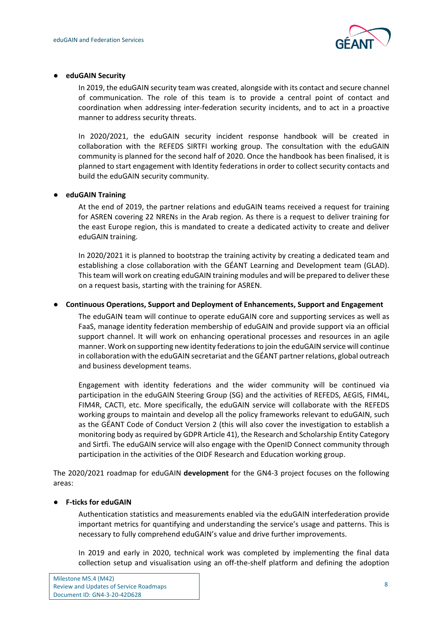

#### ● **eduGAIN Security**

In 2019, the eduGAIN security team was created, alongside with its contact and secure channel of communication. The role of this team is to provide a central point of contact and coordination when addressing inter-federation security incidents, and to act in a proactive manner to address security threats.

In 2020/2021, the eduGAIN security incident response handbook will be created in collaboration with the REFEDS SIRTFI working group. The consultation with the eduGAIN community is planned for the second half of 2020. Once the handbook has been finalised, it is planned to start engagement with Identity federations in order to collect security contacts and build the eduGAIN security community.

#### ● **eduGAIN Training**

At the end of 2019, the partner relations and eduGAIN teams received a request for training for ASREN covering 22 NRENs in the Arab region. As there is a request to deliver training for the east Europe region, this is mandated to create a dedicated activity to create and deliver eduGAIN training.

In 2020/2021 it is planned to bootstrap the training activity by creating a dedicated team and establishing a close collaboration with the GÉANT Learning and Development team (GLAD). This team will work on creating eduGAIN training modules and will be prepared to deliver these on a request basis, starting with the training for ASREN.

#### ● **Continuous Operations, Support and Deployment of Enhancements, Support and Engagement**

The eduGAIN team will continue to operate eduGAIN core and supporting services as well as FaaS, manage identity federation membership of eduGAIN and provide support via an official support channel. It will work on enhancing operational processes and resources in an agile manner. Work on supporting new identity federations to join the eduGAIN service will continue in collaboration with the eduGAIN secretariat and the GÉANT partner relations, global outreach and business development teams.

Engagement with identity federations and the wider community will be continued via participation in the eduGAIN Steering Group (SG) and the activities of REFEDS, AEGIS, FIM4L, FIM4R, CACTI, etc. More specifically, the eduGAIN service will collaborate with the REFEDS working groups to maintain and develop all the policy frameworks relevant to eduGAIN, such as the GÉANT Code of Conduct Version 2 (this will also cover the investigation to establish a monitoring body as required by GDPR Article 41), the Research and Scholarship Entity Category and Sirtfi. The eduGAIN service will also engage with the OpenID Connect community through participation in the activities of the OIDF Research and Education working group.

The 2020/2021 roadmap for eduGAIN **development** for the GN4-3 project focuses on the following areas:

#### ● **F-ticks for eduGAIN**

Authentication statistics and measurements enabled via the eduGAIN interfederation provide important metrics for quantifying and understanding the service's usage and patterns. This is necessary to fully comprehend eduGAIN's value and drive further improvements.

In 2019 and early in 2020, technical work was completed by implementing the final data collection setup and visualisation using an off-the-shelf platform and defining the adoption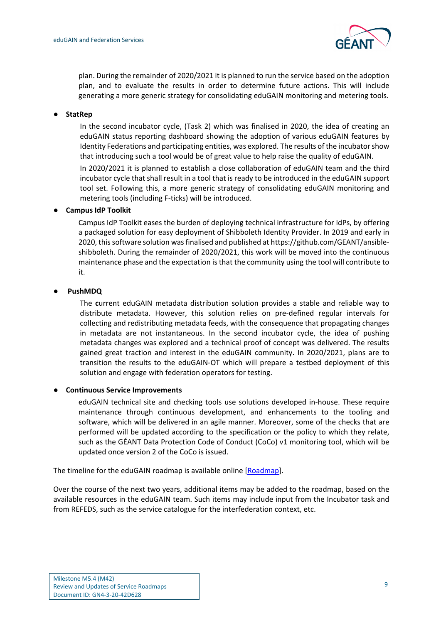

plan. During the remainder of 2020/2021 it is planned to run the service based on the adoption plan, and to evaluate the results in order to determine future actions. This will include generating a more generic strategy for consolidating eduGAIN monitoring and metering tools.

#### ● **StatRep**

In the second incubator cycle, (Task 2) which was finalised in 2020, the idea of creating an eduGAIN status reporting dashboard showing the adoption of various eduGAIN features by Identity Federations and participating entities, was explored. The results of the incubator show that introducing such a tool would be of great value to help raise the quality of eduGAIN.

In 2020/2021 it is planned to establish a close collaboration of eduGAIN team and the third incubator cycle that shall result in a tool that is ready to be introduced in the eduGAIN support tool set. Following this, a more generic strategy of consolidating eduGAIN monitoring and metering tools (including F-ticks) will be introduced.

#### ● **Campus IdP Toolkit**

Campus IdP Toolkit eases the burden of deploying technical infrastructure for IdPs, by offering a packaged solution for easy deployment of Shibboleth Identity Provider. In 2019 and early in 2020, this software solution was finalised and published at https://github.com/GEANT/ansibleshibboleth. During the remainder of 2020/2021, this work will be moved into the continuous maintenance phase and the expectation is that the community using the tool will contribute to it.

#### ● **PushMDQ**

The **c**urrent eduGAIN metadata distribution solution provides a stable and reliable way to distribute metadata. However, this solution relies on pre-defined regular intervals for collecting and redistributing metadata feeds, with the consequence that propagating changes in metadata are not instantaneous. In the second incubator cycle, the idea of pushing metadata changes was explored and a technical proof of concept was delivered. The results gained great traction and interest in the eduGAIN community. In 2020/2021, plans are to transition the results to the eduGAIN-OT which will prepare a testbed deployment of this solution and engage with federation operators for testing.

#### ● **Continuous Service Improvements**

eduGAIN technical site and checking tools use solutions developed in-house. These require maintenance through continuous development, and enhancements to the tooling and software, which will be delivered in an agile manner. Moreover, some of the checks that are performed will be updated according to the specification or the policy to which they relate, such as the GÉANT Data Protection Code of Conduct (CoCo) v1 monitoring tool, which will be updated once version 2 of the CoCo is issued.

The timeline for the eduGAIN roadmap is available online [\[Roadmap\]](#page-15-9).

Over the course of the next two years, additional items may be added to the roadmap, based on the available resources in the eduGAIN team. Such items may include input from the Incubator task and from REFEDS, such as the service catalogue for the interfederation context, etc.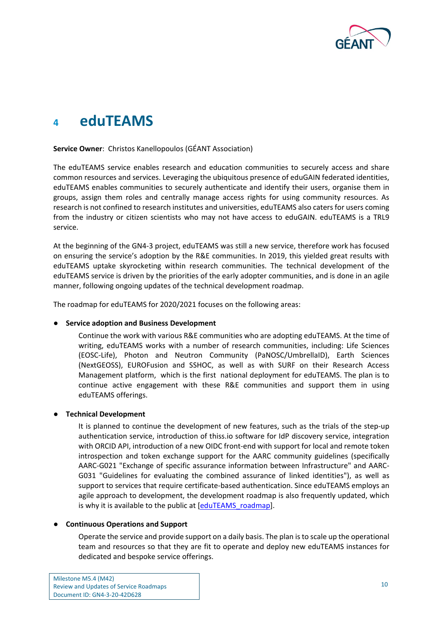

### <span id="page-11-0"></span>**<sup>4</sup> eduTEAMS**

#### **Service Owner**: Christos Kanellopoulos (GÉANT Association)

The eduTEAMS service enables research and education communities to securely access and share common resources and services. Leveraging the ubiquitous presence of eduGAIN federated identities, eduTEAMS enables communities to securely authenticate and identify their users, organise them in groups, assign them roles and centrally manage access rights for using community resources. As research is not confined to research institutes and universities, eduTEAMS also caters for users coming from the industry or citizen scientists who may not have access to eduGAIN. eduTEAMS is a TRL9 service.

At the beginning of the GN4-3 project, eduTEAMS was still a new service, therefore work has focused on ensuring the service's adoption by the R&Е communities. In 2019, this yielded great results with eduTEAMS uptake skyrocketing within research communities. The technical development of the eduTEAMS service is driven by the priorities of the early adopter communities, and is done in an agile manner, following ongoing updates of the technical development roadmap.

The roadmap for eduTEAMS for 2020/2021 focuses on the following areas:

#### ● **Service adoption and Business Development**

Continue the work with various R&E communities who are adopting eduTEAMS. At the time of writing, eduTEAMS works with a number of research communities, including: Life Sciences (EOSC-Life), Photon and Neutron Community (PaNOSC/UmbrellaID), Earth Sciences (NextGEOSS), EUROFusion and SSHOC, as well as with SURF on their Research Access Management platform, which is the first national deployment for eduTEAMS. The plan is to continue active engagement with these R&Е communities and support them in using eduTEAMS offerings.

#### ● **Technical Development**

It is planned to continue the development of new features, such as the trials of the step-up authentication service, introduction of thiss.io software for IdP discovery service, integration with ORCID API, introduction of a new OIDC front-end with support for local and remote token introspection and token exchange support for the AARC community guidelines (specifically AARC-G021 "Exchange of specific assurance information between Infrastructure" and AARC-G031 "Guidelines for evaluating the combined assurance of linked identities"), as well as support to services that require certificate-based authentication. Since eduTEAMS employs an agile approach to development, the development roadmap is also frequently updated, which is why it is available to the public at [\[eduTEAMS\\_roadmap\]](#page-15-14).

#### ● **Continuous Operations and Support**

Operate the service and provide support on a daily basis. The plan is to scale up the operational team and resources so that they are fit to operate and deploy new eduTEAMS instances for dedicated and bespoke service offerings.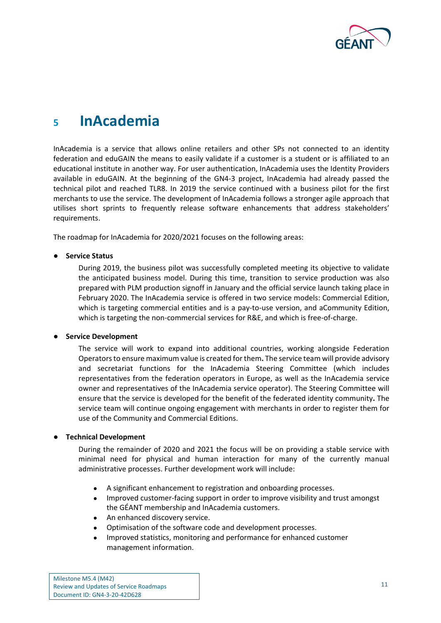

### <span id="page-12-0"></span>**<sup>5</sup> InAcademia**

InAcademia is a service that allows online retailers and other SPs not connected to an identity federation and eduGAIN the means to easily validate if a customer is a student or is affiliated to an educational institute in another way. For user authentication, InAcademia uses the Identity Providers available in eduGAIN. At the beginning of the GN4-3 project, InAcademia had already passed the technical pilot and reached TLR8. In 2019 the service continued with a business pilot for the first merchants to use the service. The development of InAcademia follows a stronger agile approach that utilises short sprints to frequently release software enhancements that address stakeholders' requirements.

The roadmap for InAcademia for 2020/2021 focuses on the following areas:

#### ● **Service Status**

During 2019, the business pilot was successfully completed meeting its objective to validate the anticipated business model. During this time, transition to service production was also prepared with PLM production signoff in January and the official service launch taking place in February 2020. The InAcademia service is offered in two service models: Commercial Edition, which is targeting commercial entities and is a pay-to-use version, and aCommunity Edition, which is targeting the non-commercial services for R&E, and which is free-of-charge.

#### ● **Service Development**

The service will work to expand into additional countries, working alongside Federation Operators to ensure maximum value is created for them**.** The service team will provide advisory and secretariat functions for the InAcademia Steering Committee (which includes representatives from the federation operators in Europe, as well as the InAcademia service owner and representatives of the InAcademia service operator). The Steering Committee will ensure that the service is developed for the benefit of the federated identity community**.** The service team will continue ongoing engagement with merchants in order to register them for use of the Community and Commercial Editions.

#### ● **Technical Development**

During the remainder of 2020 and 2021 the focus will be on providing a stable service with minimal need for physical and human interaction for many of the currently manual administrative processes. Further development work will include:

- A significant enhancement to registration and onboarding processes.
- Improved customer-facing support in order to improve visibility and trust amongst the GÉANT membership and InAcademia customers.
- An enhanced discovery service.
- Optimisation of the software code and development processes.
- Improved statistics, monitoring and performance for enhanced customer management information.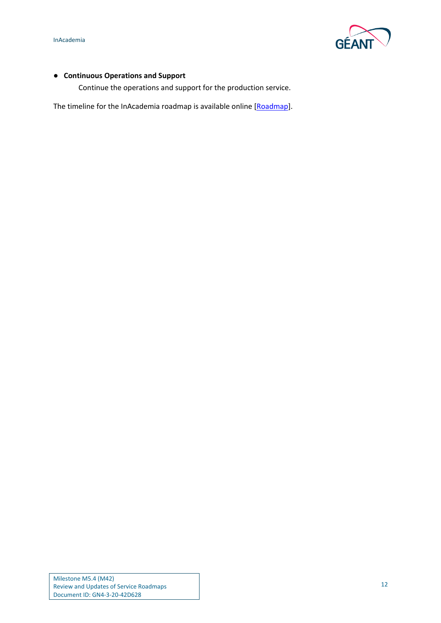

#### ● **Continuous Operations and Support**

Continue the operations and support for the production service.

The timeline for the InAcademia roadmap is available online [\[Roadmap\]](#page-15-9).

Milestone M5.4 (M42) Review and Updates of Service Roadmaps Document ID: GN4-3-20-42D628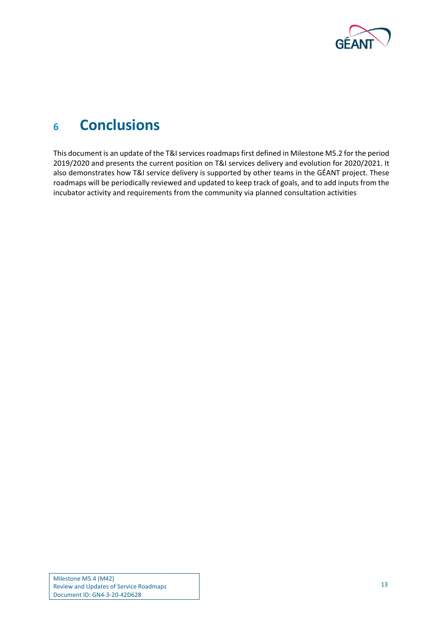

## <span id="page-14-0"></span>**<sup>6</sup> Conclusions**

This document is an update of the T&I services roadmaps first defined in Milestone M5.2 for the period 2019/2020 and presents the current position on T&I services delivery and evolution for 2020/2021. It also demonstrates how T&I service delivery is supported by other teams in the GÉANT project. These roadmaps will be periodically reviewed and updated to keep track of goals, and to add inputs from the incubator activity and requirements from the community via planned consultation activities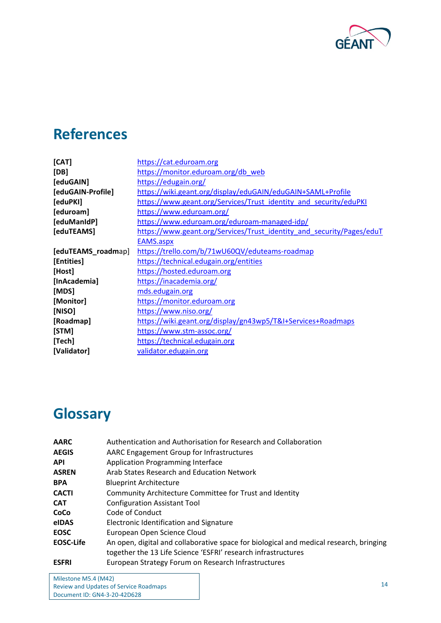

## <span id="page-15-0"></span>**References**

<span id="page-15-14"></span><span id="page-15-13"></span><span id="page-15-8"></span><span id="page-15-7"></span><span id="page-15-6"></span><span id="page-15-5"></span>

| [CAT]              | https://cat.eduroam.org                                               |
|--------------------|-----------------------------------------------------------------------|
| [DB]               | https://monitor.eduroam.org/db web                                    |
| [eduGAIN]          | https://edugain.org/                                                  |
| [eduGAIN-Profile]  | https://wiki.geant.org/display/eduGAIN/eduGAIN+SAML+Profile           |
| [eduPKI]           | https://www.geant.org/Services/Trust identity and security/eduPKI     |
| [eduroam]          | https://www.eduroam.org/                                              |
| [eduManIdP]        | https://www.eduroam.org/eduroam-managed-idp/                          |
| [eduTEAMS]         | https://www.geant.org/Services/Trust_identity_and_security/Pages/eduT |
|                    | EAMS.aspx                                                             |
| [eduTEAMS_roadmap] | https://trello.com/b/71wU60QV/eduteams-roadmap                        |
| [Entities]         | https://technical.edugain.org/entities                                |
| [Host]             | https://hosted.eduroam.org                                            |
| [InAcademia]       | https://inacademia.org/                                               |
| [MDS]              | mds.edugain.org                                                       |
| [Monitor]          | https://monitor.eduroam.org                                           |
| [NISO]             | https://www.niso.org/                                                 |
| [Roadmap]          | https://wiki.geant.org/display/gn43wp5/T&I+Services+Roadmaps          |
| [STM]              | https://www.stm-assoc.org/                                            |
| [Tech]             | https://technical.edugain.org                                         |
| [Validator]        | validator.edugain.org                                                 |
|                    |                                                                       |

# <span id="page-15-12"></span><span id="page-15-11"></span><span id="page-15-10"></span><span id="page-15-9"></span><span id="page-15-4"></span><span id="page-15-3"></span><span id="page-15-2"></span><span id="page-15-1"></span>**Glossary**

| <b>AARC</b>      | Authentication and Authorisation for Research and Collaboration                        |
|------------------|----------------------------------------------------------------------------------------|
| <b>AEGIS</b>     | AARC Engagement Group for Infrastructures                                              |
| <b>API</b>       | <b>Application Programming Interface</b>                                               |
| <b>ASREN</b>     | Arab States Research and Education Network                                             |
| <b>BPA</b>       | <b>Blueprint Architecture</b>                                                          |
| <b>CACTI</b>     | Community Architecture Committee for Trust and Identity                                |
| <b>CAT</b>       | <b>Configuration Assistant Tool</b>                                                    |
| CoCo             | Code of Conduct                                                                        |
| <b>elDAS</b>     | Electronic Identification and Signature                                                |
| <b>EOSC</b>      | European Open Science Cloud                                                            |
| <b>EOSC-Life</b> | An open, digital and collaborative space for biological and medical research, bringing |
|                  | together the 13 Life Science 'ESFRI' research infrastructures                          |
| <b>ESFRI</b>     | European Strategy Forum on Research Infrastructures                                    |

Milestone M5.4 (M42) Review and Updates of Service Roadmaps Document ID: GN4-3-20-42D628